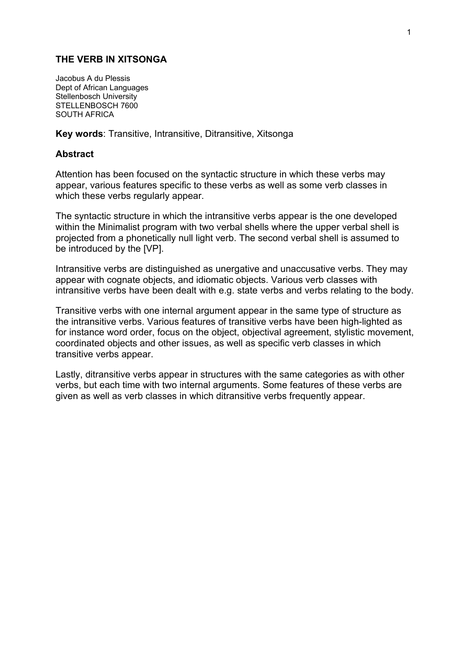#### **THE VERB IN XITSONGA**

Jacobus A du Plessis Dept of African Languages Stellenbosch University STELLENBOSCH 7600 SOUTH AFRICA

**Key words**: Transitive, Intransitive, Ditransitive, Xitsonga

#### **Abstract**

Attention has been focused on the syntactic structure in which these verbs may appear, various features specific to these verbs as well as some verb classes in which these verbs regularly appear.

The syntactic structure in which the intransitive verbs appear is the one developed within the Minimalist program with two verbal shells where the upper verbal shell is projected from a phonetically null light verb. The second verbal shell is assumed to be introduced by the [VP].

Intransitive verbs are distinguished as unergative and unaccusative verbs. They may appear with cognate objects, and idiomatic objects. Various verb classes with intransitive verbs have been dealt with e.g. state verbs and verbs relating to the body.

Transitive verbs with one internal argument appear in the same type of structure as the intransitive verbs. Various features of transitive verbs have been high-lighted as for instance word order, focus on the object, objectival agreement, stylistic movement, coordinated objects and other issues, as well as specific verb classes in which transitive verbs appear.

Lastly, ditransitive verbs appear in structures with the same categories as with other verbs, but each time with two internal arguments. Some features of these verbs are given as well as verb classes in which ditransitive verbs frequently appear.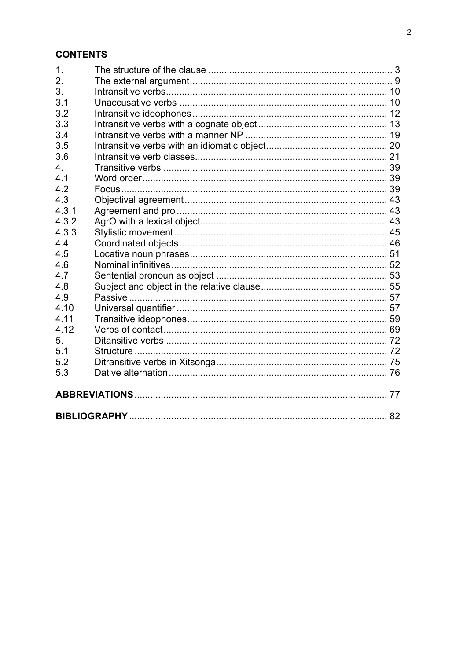### **CONTENTS**

| 1.    |  |  |
|-------|--|--|
| 2.    |  |  |
| 3.    |  |  |
| 3.1   |  |  |
| 3.2   |  |  |
| 3.3   |  |  |
| 3.4   |  |  |
| 3.5   |  |  |
| 3.6   |  |  |
| 4.    |  |  |
| 4.1   |  |  |
| 4.2   |  |  |
| 4.3   |  |  |
| 4.3.1 |  |  |
| 4.3.2 |  |  |
| 4.3.3 |  |  |
| 4.4   |  |  |
| 4.5   |  |  |
| 4.6   |  |  |
| 4.7   |  |  |
| 4.8   |  |  |
| 4.9   |  |  |
| 4.10  |  |  |
| 4.11  |  |  |
| 4.12  |  |  |
| 5.    |  |  |
| 5.1   |  |  |
| 5.2   |  |  |
| 5.3   |  |  |
|       |  |  |
|       |  |  |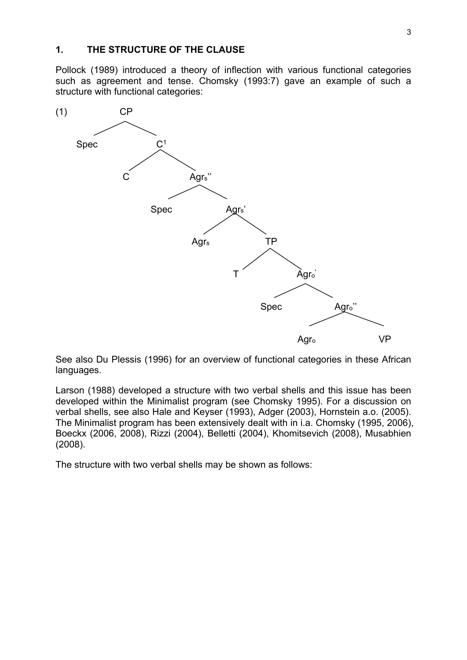#### **1. THE STRUCTURE OF THE CLAUSE**

Pollock (1989) introduced a theory of inflection with various functional categories such as agreement and tense. Chomsky (1993:7) gave an example of such a structure with functional categories:



See also Du Plessis (1996) for an overview of functional categories in these African languages.

Larson (1988) developed a structure with two verbal shells and this issue has been developed within the Minimalist program (see Chomsky 1995). For a discussion on verbal shells, see also Hale and Keyser (1993), Adger (2003), Hornstein a.o. (2005). The Minimalist program has been extensively dealt with in i.a. Chomsky (1995, 2006), Boeckx (2006, 2008), Rizzi (2004), Belletti (2004), Khomitsevich (2008), Musabhien (2008).

The structure with two verbal shells may be shown as follows: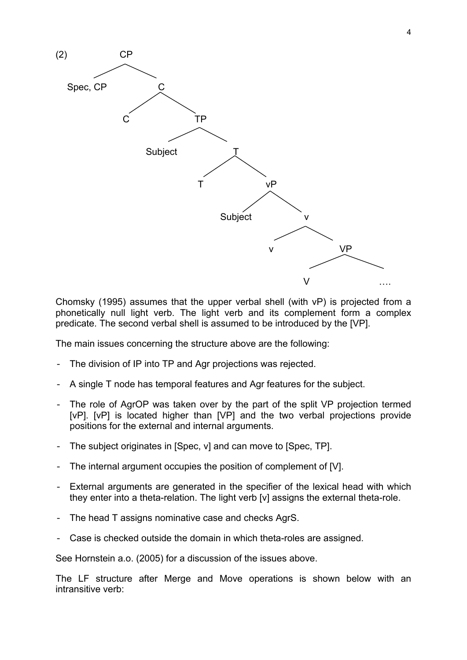

Chomsky (1995) assumes that the upper verbal shell (with vP) is projected from a phonetically null light verb. The light verb and its complement form a complex predicate. The second verbal shell is assumed to be introduced by the [VP].

The main issues concerning the structure above are the following:

- The division of IP into TP and Agr projections was rejected.
- A single T node has temporal features and Agr features for the subject.
- The role of AgrOP was taken over by the part of the split VP projection termed [vP]. [vP] is located higher than [VP] and the two verbal projections provide positions for the external and internal arguments.
- The subject originates in [Spec, v] and can move to [Spec, TP].
- The internal argument occupies the position of complement of [V].
- External arguments are generated in the specifier of the lexical head with which they enter into a theta-relation. The light verb [v] assigns the external theta-role.
- The head T assigns nominative case and checks AgrS.
- Case is checked outside the domain in which theta-roles are assigned.

See Hornstein a.o. (2005) for a discussion of the issues above.

The LF structure after Merge and Move operations is shown below with an intransitive verb: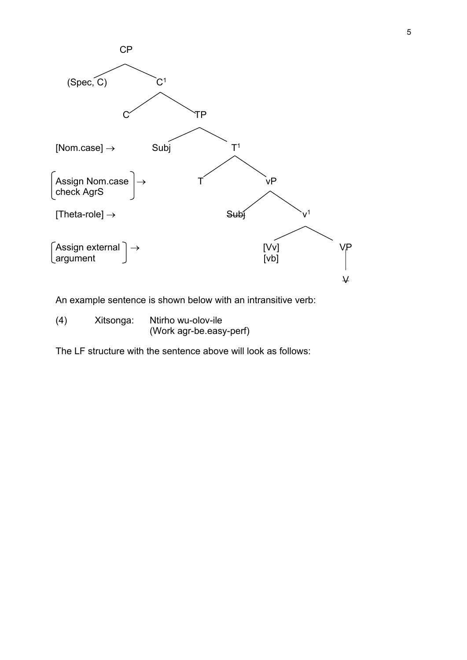

An example sentence is shown below with an intransitive verb:

(4) Xitsonga: Ntirho wu-olov-ile (Work agr-be.easy-perf)

The LF structure with the sentence above will look as follows: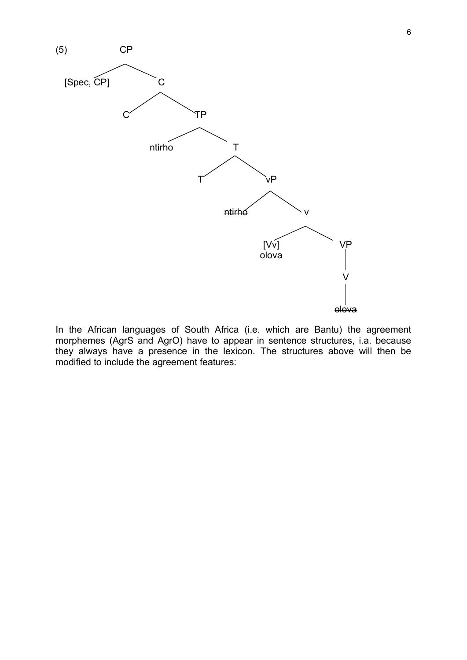

In the African languages of South Africa (i.e. which are Bantu) the agreement morphemes (AgrS and AgrO) have to appear in sentence structures, i.a. because they always have a presence in the lexicon. The structures above will then be modified to include the agreement features: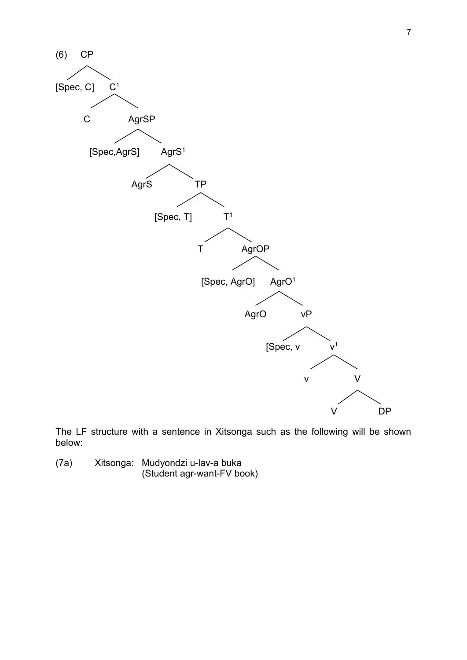

The LF structure with a sentence in Xitsonga such as the following will be shown below:

(7a) Xitsonga: Mudyondzi u-lav-a buka (Student agr-want-FV book)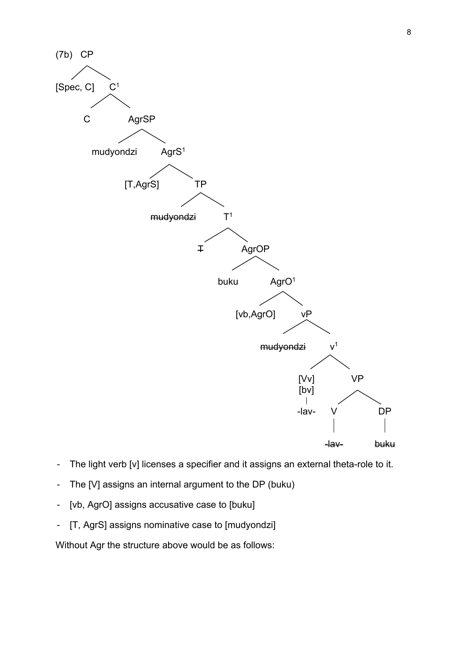

- The light verb [v] licenses a specifier and it assigns an external theta-role to it.
- The [V] assigns an internal argument to the DP (buku)
- [vb, AgrO] assigns accusative case to [buku]
- [T, AgrS] assigns nominative case to [mudyondzi]

Without Agr the structure above would be as follows: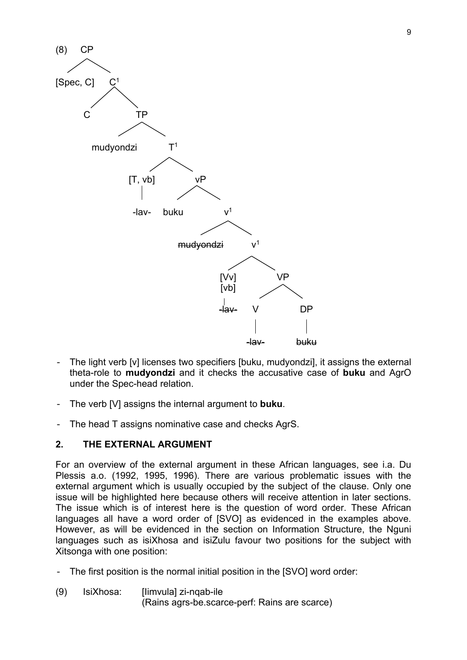

- The light verb [v] licenses two specifiers [buku, mudyondzi], it assigns the external theta-role to **mudyondzi** and it checks the accusative case of **buku** and AgrO under the Spec-head relation.
- The verb [V] assigns the internal argument to **buku**.
- The head T assigns nominative case and checks AgrS.

#### **2. THE EXTERNAL ARGUMENT**

For an overview of the external argument in these African languages, see i.a. Du Plessis a.o. (1992, 1995, 1996). There are various problematic issues with the external argument which is usually occupied by the subject of the clause. Only one issue will be highlighted here because others will receive attention in later sections. The issue which is of interest here is the question of word order. These African languages all have a word order of [SVO] as evidenced in the examples above. However, as will be evidenced in the section on Information Structure, the Nguni languages such as isiXhosa and isiZulu favour two positions for the subject with Xitsonga with one position:

- The first position is the normal initial position in the [SVO] word order:
- (9) IsiXhosa: [Iimvula] zi-nqab-ile (Rains agrs-be.scarce-perf: Rains are scarce)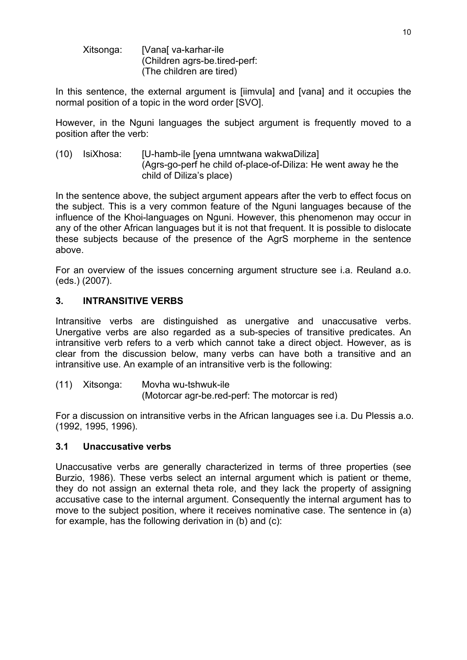Xitsonga: [Vanal va-karhar-ile] (Children agrs-be.tired-perf: (The children are tired)

In this sentence, the external argument is [iimvula] and [vana] and it occupies the normal position of a topic in the word order [SVO].

However, in the Nguni languages the subject argument is frequently moved to a position after the verb:

(10) IsiXhosa: [U-hamb-ile [yena umntwana wakwaDiliza] (Agrs-go-perf he child of-place-of-Diliza: He went away he the child of Diliza's place)

In the sentence above, the subject argument appears after the verb to effect focus on the subject. This is a very common feature of the Nguni languages because of the influence of the Khoi-languages on Nguni. However, this phenomenon may occur in any of the other African languages but it is not that frequent. It is possible to dislocate these subjects because of the presence of the AgrS morpheme in the sentence above.

For an overview of the issues concerning argument structure see i.a. Reuland a.o. (eds.) (2007).

#### **3. INTRANSITIVE VERBS**

Intransitive verbs are distinguished as unergative and unaccusative verbs. Unergative verbs are also regarded as a sub-species of transitive predicates. An intransitive verb refers to a verb which cannot take a direct object. However, as is clear from the discussion below, many verbs can have both a transitive and an intransitive use. An example of an intransitive verb is the following:

(11) Xitsonga: Movha wu-tshwuk-ile (Motorcar agr-be.red-perf: The motorcar is red)

For a discussion on intransitive verbs in the African languages see i.a. Du Plessis a.o. (1992, 1995, 1996).

#### **3.1 Unaccusative verbs**

Unaccusative verbs are generally characterized in terms of three properties (see Burzio, 1986). These verbs select an internal argument which is patient or theme, they do not assign an external theta role, and they lack the property of assigning accusative case to the internal argument. Consequently the internal argument has to move to the subject position, where it receives nominative case. The sentence in (a) for example, has the following derivation in (b) and (c):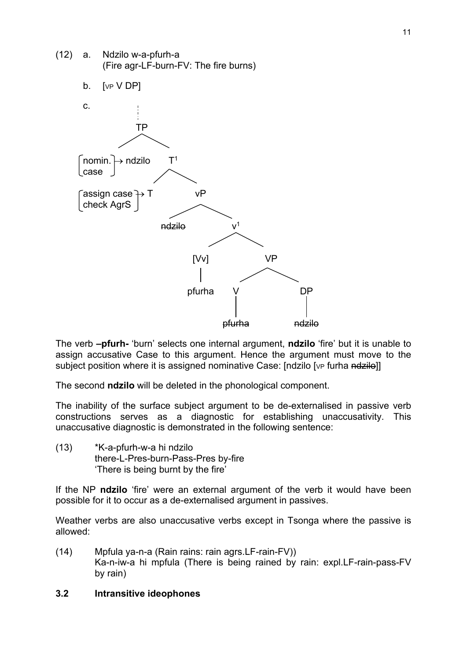

The verb **–pfurh-** 'burn' selects one internal argument, **ndzilo** 'fire' but it is unable to assign accusative Case to this argument. Hence the argument must move to the subject position where it is assigned nominative Case: [ndzilo [vp furha ndzilo]]

The second **ndzilo** will be deleted in the phonological component.

The inability of the surface subject argument to be de-externalised in passive verb constructions serves as a diagnostic for establishing unaccusativity. This unaccusative diagnostic is demonstrated in the following sentence:

(13) \*K-a-pfurh-w-a hi ndzilo there-L-Pres-burn-Pass-Pres by-fire 'There is being burnt by the fire'

If the NP **ndzilo** 'fire' were an external argument of the verb it would have been possible for it to occur as a de-externalised argument in passives.

Weather verbs are also unaccusative verbs except in Tsonga where the passive is allowed:

(14) Mpfula ya-n-a (Rain rains: rain agrs.LF-rain-FV)) Ka-n-iw-a hi mpfula (There is being rained by rain: expl.LF-rain-pass-FV by rain)

#### **3.2 Intransitive ideophones**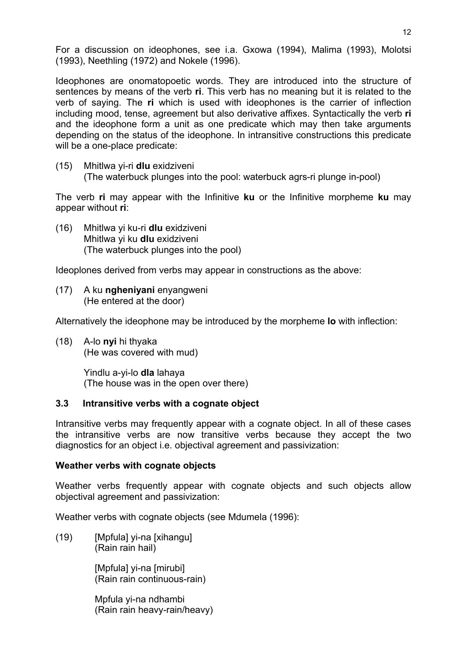For a discussion on ideophones, see i.a. Gxowa (1994), Malima (1993), Molotsi (1993), Neethling (1972) and Nokele (1996).

Ideophones are onomatopoetic words. They are introduced into the structure of sentences by means of the verb **ri**. This verb has no meaning but it is related to the verb of saying. The **ri** which is used with ideophones is the carrier of inflection including mood, tense, agreement but also derivative affixes. Syntactically the verb **ri** and the ideophone form a unit as one predicate which may then take arguments depending on the status of the ideophone. In intransitive constructions this predicate will be a one-place predicate:

(15) Mhitlwa yi-ri **dlu** exidziveni (The waterbuck plunges into the pool: waterbuck agrs-ri plunge in-pool)

The verb **ri** may appear with the Infinitive **ku** or the Infinitive morpheme **ku** may appear without **ri**:

(16) Mhitlwa yi ku-ri **dlu** exidziveni Mhitlwa yi ku **dlu** exidziveni (The waterbuck plunges into the pool)

Ideoplones derived from verbs may appear in constructions as the above:

(17) A ku **ngheniyani** enyangweni (He entered at the door)

Alternatively the ideophone may be introduced by the morpheme **lo** with inflection:

(18) A-lo **nyi** hi thyaka (He was covered with mud)

> Yindlu a-yi-lo **dla** lahaya (The house was in the open over there)

#### **3.3 Intransitive verbs with a cognate object**

Intransitive verbs may frequently appear with a cognate object. In all of these cases the intransitive verbs are now transitive verbs because they accept the two diagnostics for an object i.e. objectival agreement and passivization:

#### **Weather verbs with cognate objects**

Weather verbs frequently appear with cognate objects and such objects allow objectival agreement and passivization:

Weather verbs with cognate objects (see Mdumela (1996):

(19) [Mpfula] yi-na [xihangu] (Rain rain hail)

> [Mpfula] yi-na [mirubi] (Rain rain continuous-rain)

 Mpfula yi-na ndhambi (Rain rain heavy-rain/heavy)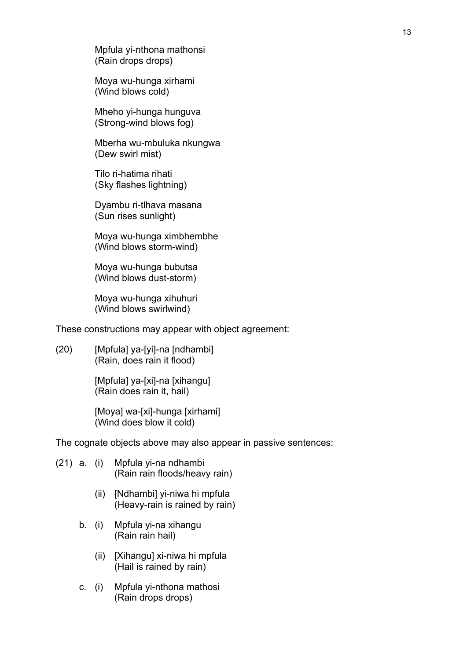Mpfula yi-nthona mathonsi (Rain drops drops)

 Moya wu-hunga xirhami (Wind blows cold)

 Mheho yi-hunga hunguva (Strong-wind blows fog)

 Mberha wu-mbuluka nkungwa (Dew swirl mist)

 Tilo ri-hatima rihati (Sky flashes lightning)

 Dyambu ri-tlhava masana (Sun rises sunlight)

 Moya wu-hunga ximbhembhe (Wind blows storm-wind)

 Moya wu-hunga bubutsa (Wind blows dust-storm)

 Moya wu-hunga xihuhuri (Wind blows swirlwind)

These constructions may appear with object agreement:

(20) [Mpfula] ya-[yi]-na [ndhambi] (Rain, does rain it flood)

> [Mpfula] ya-[xi]-na [xihangu] (Rain does rain it, hail)

 [Moya] wa-[xi]-hunga [xirhami] (Wind does blow it cold)

The cognate objects above may also appear in passive sentences:

- (21) a. (i) Mpfula yi-na ndhambi (Rain rain floods/heavy rain)
	- (ii) [Ndhambi] yi-niwa hi mpfula (Heavy-rain is rained by rain)
	- b. (i) Mpfula yi-na xihangu (Rain rain hail)
		- (ii) [Xihangu] xi-niwa hi mpfula (Hail is rained by rain)
	- c. (i) Mpfula yi-nthona mathosi (Rain drops drops)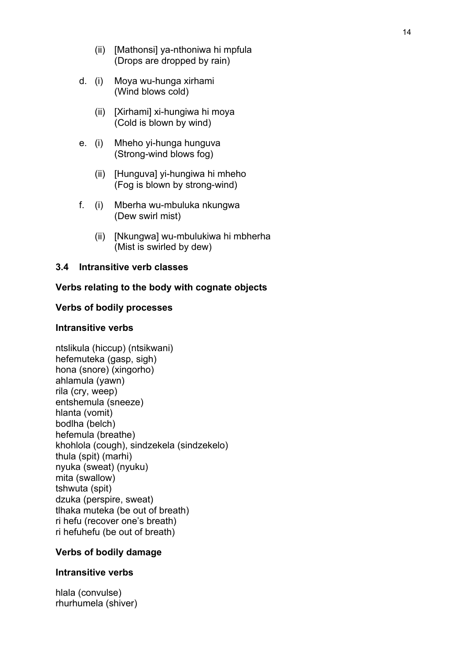- (ii) [Mathonsi] ya-nthoniwa hi mpfula (Drops are dropped by rain)
- d. (i) Moya wu-hunga xirhami (Wind blows cold)
	- (ii) [Xirhami] xi-hungiwa hi moya (Cold is blown by wind)
- e. (i) Mheho yi-hunga hunguva (Strong-wind blows fog)
	- (ii) [Hunguva] yi-hungiwa hi mheho (Fog is blown by strong-wind)
- f. (i) Mberha wu-mbuluka nkungwa (Dew swirl mist)
	- (ii) [Nkungwa] wu-mbulukiwa hi mbherha (Mist is swirled by dew)

#### **3.4 Intransitive verb classes**

#### **Verbs relating to the body with cognate objects**

#### **Verbs of bodily processes**

#### **Intransitive verbs**

ntslikula (hiccup) (ntsikwani) hefemuteka (gasp, sigh) hona (snore) (xingorho) ahlamula (yawn) rila (cry, weep) entshemula (sneeze) hlanta (vomit) bodlha (belch) hefemula (breathe) khohlola (cough), sindzekela (sindzekelo) thula (spit) (marhi) nyuka (sweat) (nyuku) mita (swallow) tshwuta (spit) dzuka (perspire, sweat) tlhaka muteka (be out of breath) ri hefu (recover one's breath) ri hefuhefu (be out of breath)

#### **Verbs of bodily damage**

#### **Intransitive verbs**

hlala (convulse) rhurhumela (shiver)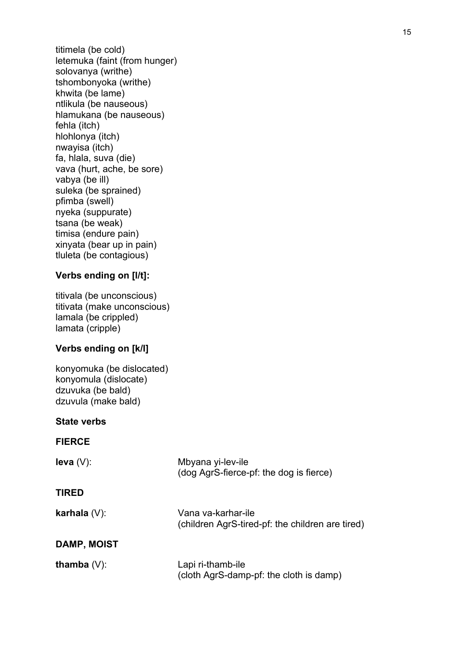titimela (be cold) letemuka (faint (from hunger) solovanya (writhe) tshombonyoka (writhe) khwita (be lame) ntlikula (be nauseous) hlamukana (be nauseous) fehla (itch) hlohlonya (itch) nwayisa (itch) fa, hlala, suva (die) vava (hurt, ache, be sore) vabya (be ill) suleka (be sprained) pfimba (swell) nyeka (suppurate) tsana (be weak) timisa (endure pain) xinyata (bear up in pain) tluleta (be contagious)

#### **Verbs ending on [l/t]:**

titivala (be unconscious) titivata (make unconscious) lamala (be crippled) lamata (cripple)

#### **Verbs ending on [k/l]**

konyomuka (be dislocated) konyomula (dislocate) dzuvuka (be bald) dzuvula (make bald)

#### **State verbs**

#### **FIERCE**

| $leva(V)$ :     | Mbyana yi-lev-ile<br>(dog AgrS-fierce-pf: the dog is fierce)           |
|-----------------|------------------------------------------------------------------------|
| <b>TIRED</b>    |                                                                        |
| karhala $(V)$ : | Vana va-karhar-ile<br>(children AgrS-tired-pf: the children are tired) |
| DAMP, MOIST     |                                                                        |
| thamba $(V)$ :  | Lapi ri-thamb-ile<br>(cloth AgrS-damp-pf: the cloth is damp)           |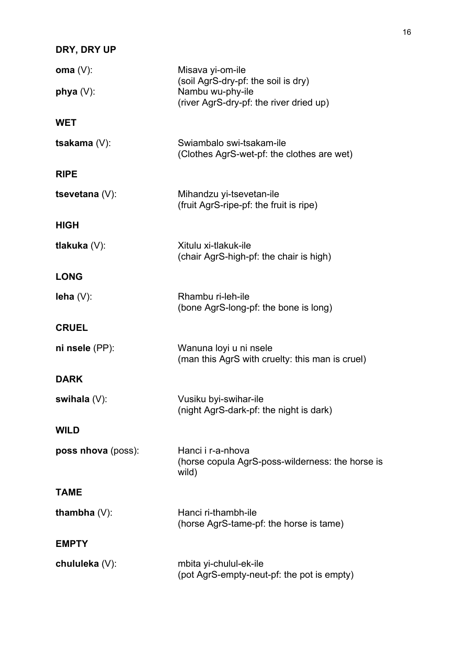# **DRY, DRY UP**

| oma $(V)$ :        | Misava yi-om-ile<br>(soil AgrS-dry-pf: the soil is dry)                        |  |
|--------------------|--------------------------------------------------------------------------------|--|
| phya $(V)$ :       | Nambu wu-phy-ile<br>(river AgrS-dry-pf: the river dried up)                    |  |
| <b>WET</b>         |                                                                                |  |
| tsakama (V):       | Swiambalo swi-tsakam-ile<br>(Clothes AgrS-wet-pf: the clothes are wet)         |  |
| <b>RIPE</b>        |                                                                                |  |
| tsevetana $(V)$ :  | Mihandzu yi-tsevetan-ile<br>(fruit AgrS-ripe-pf: the fruit is ripe)            |  |
| <b>HIGH</b>        |                                                                                |  |
| tlakuka $(V)$ :    | Xitulu xi-tlakuk-ile<br>(chair AgrS-high-pf: the chair is high)                |  |
| <b>LONG</b>        |                                                                                |  |
| $lena(V)$ :        | Rhambu ri-leh-ile<br>(bone AgrS-long-pf: the bone is long)                     |  |
| <b>CRUEL</b>       |                                                                                |  |
| ni nsele (PP):     | Wanuna loyi u ni nsele<br>(man this AgrS with cruelty: this man is cruel)      |  |
| <b>DARK</b>        |                                                                                |  |
| swihala $(V)$ :    | Vusiku byi-swihar-ile<br>(night AgrS-dark-pf: the night is dark)               |  |
| <b>WILD</b>        |                                                                                |  |
| poss nhova (poss): | Hanci i r-a-nhova<br>(horse copula AgrS-poss-wilderness: the horse is<br>wild) |  |
| <b>TAME</b>        |                                                                                |  |
| thambha $(V)$ :    | Hanci ri-thambh-ile<br>(horse AgrS-tame-pf: the horse is tame)                 |  |
| <b>EMPTY</b>       |                                                                                |  |
| chululeka (V):     | mbita yi-chulul-ek-ile<br>(pot AgrS-empty-neut-pf: the pot is empty)           |  |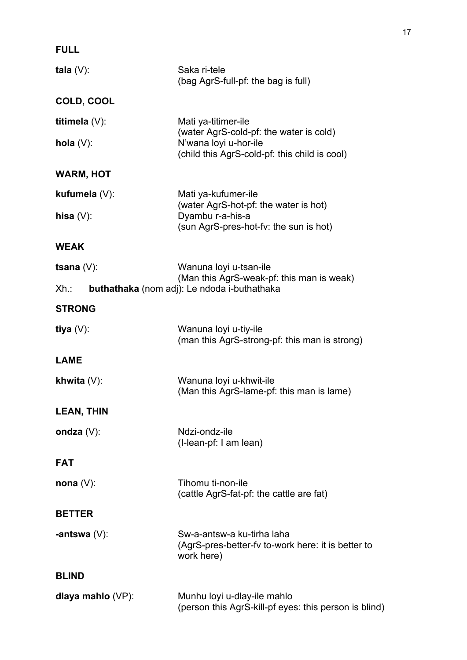| <b>FULL</b>       |                                                                                                                                          |
|-------------------|------------------------------------------------------------------------------------------------------------------------------------------|
| tala $(V)$ :      | Saka ri-tele<br>(bag AgrS-full-pf: the bag is full)                                                                                      |
| COLD, COOL        |                                                                                                                                          |
| titimela $(V)$ :  | Mati ya-titimer-ile<br>(water AgrS-cold-pf: the water is cold)<br>N'wana loyi u-hor-ile<br>(child this AgrS-cold-pf: this child is cool) |
| hola $(V)$ :      |                                                                                                                                          |
| <b>WARM, HOT</b>  |                                                                                                                                          |
| kufumela (V):     | Mati ya-kufumer-ile<br>(water AgrS-hot-pf: the water is hot)                                                                             |
| hisa $(V)$ :      | Dyambu r-a-his-a<br>(sun AgrS-pres-hot-fv: the sun is hot)                                                                               |
| <b>WEAK</b>       |                                                                                                                                          |
| tsana $(V)$ :     | Wanuna loyi u-tsan-ile<br>(Man this AgrS-weak-pf: this man is weak)                                                                      |
| $Xh$ .:           | buthathaka (nom adj): Le ndoda i-buthathaka                                                                                              |
| <b>STRONG</b>     |                                                                                                                                          |
| tiya $(V)$ :      | Wanuna loyi u-tiy-ile<br>(man this AgrS-strong-pf: this man is strong)                                                                   |
| <b>LAME</b>       |                                                                                                                                          |
| khwita $(V)$ :    | Wanuna loyi u-khwit-ile<br>(Man this AgrS-lame-pf: this man is lame)                                                                     |
| <b>LEAN, THIN</b> |                                                                                                                                          |
| ondza $(V)$ :     | Ndzi-ondz-ile<br>(I-lean-pf: I am lean)                                                                                                  |
| <b>FAT</b>        |                                                                                                                                          |
| nona $(V)$ :      | Tihomu ti-non-ile<br>(cattle AgrS-fat-pf: the cattle are fat)                                                                            |
| <b>BETTER</b>     |                                                                                                                                          |
| -antswa $(V)$ :   | Sw-a-antsw-a ku-tirha laha<br>(AgrS-pres-better-fy to-work here: it is better to<br>work here)                                           |
| <b>BLIND</b>      |                                                                                                                                          |
| dlaya mahlo (VP): | Munhu loyi u-dlay-ile mahlo<br>(person this AgrS-kill-pf eyes: this person is blind)                                                     |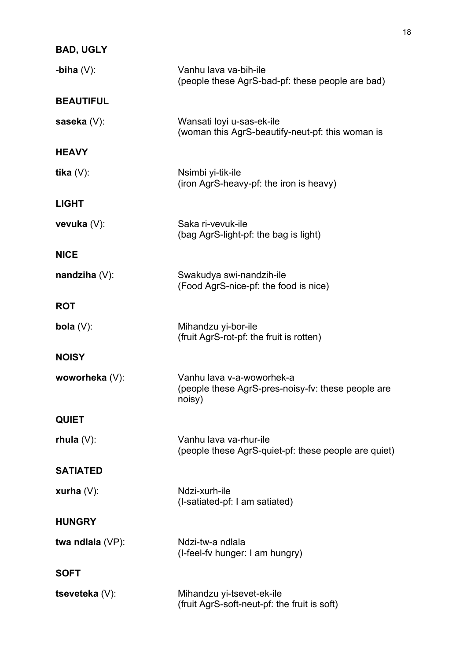# **BAD, UGLY**

| -biha $(V)$ :     | Vanhu lava va-bih-ile<br>(people these AgrS-bad-pf: these people are bad)                 |  |
|-------------------|-------------------------------------------------------------------------------------------|--|
| <b>BEAUTIFUL</b>  |                                                                                           |  |
| saseka $(V)$ :    | Wansati loyi u-sas-ek-ile<br>(woman this AgrS-beautify-neut-pf: this woman is             |  |
| <b>HEAVY</b>      |                                                                                           |  |
| tika $(V)$ :      | Nsimbi yi-tik-ile<br>(iron AgrS-heavy-pf: the iron is heavy)                              |  |
| <b>LIGHT</b>      |                                                                                           |  |
| vevuka $(V)$ :    | Saka ri-vevuk-ile<br>(bag AgrS-light-pf: the bag is light)                                |  |
| <b>NICE</b>       |                                                                                           |  |
| nandziha $(V)$ :  | Swakudya swi-nandzih-ile<br>(Food AgrS-nice-pf: the food is nice)                         |  |
| <b>ROT</b>        |                                                                                           |  |
| bola $(V)$ :      | Mihandzu yi-bor-ile<br>(fruit AgrS-rot-pf: the fruit is rotten)                           |  |
| <b>NOISY</b>      |                                                                                           |  |
| woworheka (V):    | Vanhu lava v-a-woworhek-a<br>(people these AgrS-pres-noisy-fv: these people are<br>noisy) |  |
| <b>QUIET</b>      |                                                                                           |  |
| rhula $(V)$ :     | Vanhu lava va-rhur-ile<br>(people these AgrS-quiet-pf: these people are quiet)            |  |
| <b>SATIATED</b>   |                                                                                           |  |
| xurha $(V)$ :     | Ndzi-xurh-ile<br>(I-satiated-pf: I am satiated)                                           |  |
| <b>HUNGRY</b>     |                                                                                           |  |
| twa ndlala (VP):  | Ndzi-tw-a ndlala<br>(I-feel-fy hunger: I am hungry)                                       |  |
| <b>SOFT</b>       |                                                                                           |  |
| tseveteka $(V)$ : | Mihandzu yi-tsevet-ek-ile<br>(fruit AgrS-soft-neut-pf: the fruit is soft)                 |  |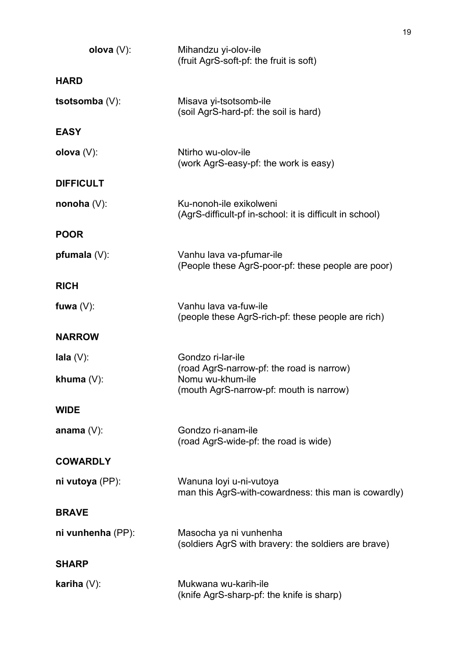| olova $(V)$ :     | Mihandzu yi-olov-ile<br>(fruit AgrS-soft-pf: the fruit is soft)                     |
|-------------------|-------------------------------------------------------------------------------------|
| <b>HARD</b>       |                                                                                     |
| tsotsomba $(V)$ : | Misava yi-tsotsomb-ile<br>(soil AgrS-hard-pf: the soil is hard)                     |
| <b>EASY</b>       |                                                                                     |
| olova $(V)$ :     | Ntirho wu-olov-ile<br>(work AgrS-easy-pf: the work is easy)                         |
| <b>DIFFICULT</b>  |                                                                                     |
| nonoha $(V)$ :    | Ku-nonoh-ile exikolweni<br>(AgrS-difficult-pf in-school: it is difficult in school) |
| <b>POOR</b>       |                                                                                     |
| pfumala $(V)$ :   | Vanhu lava va-pfumar-ile<br>(People these AgrS-poor-pf: these people are poor)      |
| <b>RICH</b>       |                                                                                     |
| fuwa $(V)$ :      | Vanhu lava va-fuw-ile<br>(people these AgrS-rich-pf: these people are rich)         |
| <b>NARROW</b>     |                                                                                     |
| $l$ ala $(V)$ :   | Gondzo ri-lar-ile<br>(road AgrS-narrow-pf: the road is narrow)                      |
| khuma $(V)$ :     | Nomu wu-khum-ile<br>(mouth AgrS-narrow-pf: mouth is narrow)                         |
| <b>WIDE</b>       |                                                                                     |
| anama $(V)$ :     | Gondzo ri-anam-ile<br>(road AgrS-wide-pf: the road is wide)                         |
| <b>COWARDLY</b>   |                                                                                     |
| ni vutoya (PP):   | Wanuna loyi u-ni-vutoya<br>man this AgrS-with-cowardness: this man is cowardly)     |
| <b>BRAVE</b>      |                                                                                     |
| ni vunhenha (PP): | Masocha ya ni vunhenha<br>(soldiers AgrS with bravery: the soldiers are brave)      |
| <b>SHARP</b>      |                                                                                     |
| kariha $(V)$ :    | Mukwana wu-karih-ile<br>(knife AgrS-sharp-pf: the knife is sharp)                   |

19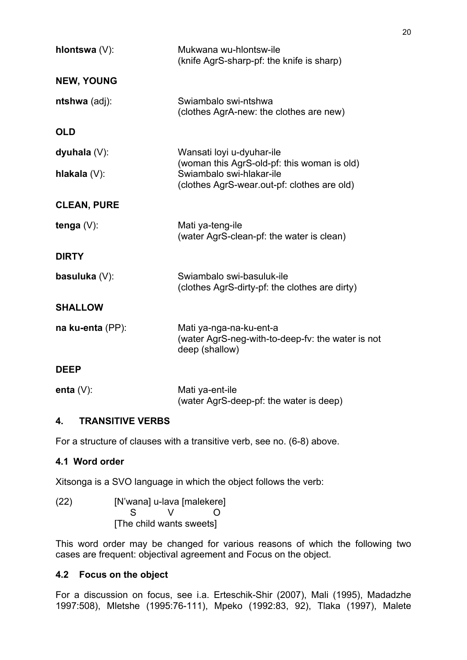| hlontswa (V):      | Mukwana wu-hlontsw-ile<br>(knife AgrS-sharp-pf: the knife is sharp)                                                    |
|--------------------|------------------------------------------------------------------------------------------------------------------------|
| <b>NEW, YOUNG</b>  |                                                                                                                        |
| ntshwa (adj):      | Swiambalo swi-ntshwa<br>(clothes AgrA-new: the clothes are new)                                                        |
| <b>OLD</b>         |                                                                                                                        |
| dyuhala $(V)$ :    | Wansati loyi u-dyuhar-ile                                                                                              |
| hlakala $(V)$ :    | (woman this AgrS-old-pf: this woman is old)<br>Swiambalo swi-hlakar-ile<br>(clothes AgrS-wear.out-pf: clothes are old) |
| <b>CLEAN, PURE</b> |                                                                                                                        |
| tenga $(V)$ :      | Mati ya-teng-ile<br>(water AgrS-clean-pf: the water is clean)                                                          |
| <b>DIRTY</b>       |                                                                                                                        |
| basuluka (V):      | Swiambalo swi-basuluk-ile<br>(clothes AgrS-dirty-pf: the clothes are dirty)                                            |
| <b>SHALLOW</b>     |                                                                                                                        |
| na ku-enta (PP):   | Mati ya-nga-na-ku-ent-a<br>(water AgrS-neg-with-to-deep-fv: the water is not<br>deep (shallow)                         |
| <b>DEEP</b>        |                                                                                                                        |
| enta $(V)$ :       | Mati ya-ent-ile<br>(water AgrS-deep-pf: the water is deep)                                                             |

### **4. TRANSITIVE VERBS**

For a structure of clauses with a transitive verb, see no. (6-8) above.

### **4.1 Word order**

Xitsonga is a SVO language in which the object follows the verb:

(22) [N'wana] u-lava [malekere] S V O [The child wants sweets]

This word order may be changed for various reasons of which the following two cases are frequent: objectival agreement and Focus on the object.

### **4.2 Focus on the object**

For a discussion on focus, see i.a. Erteschik-Shir (2007), Mali (1995), Madadzhe 1997:508), Mletshe (1995:76-111), Mpeko (1992:83, 92), Tlaka (1997), Malete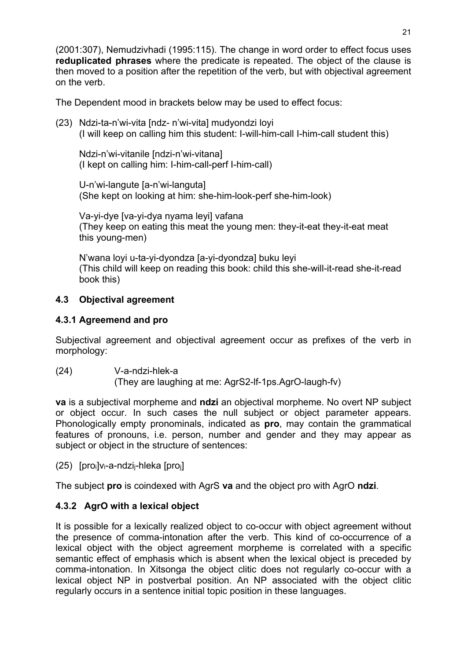(2001:307), Nemudzivhadi (1995:115). The change in word order to effect focus uses **reduplicated phrases** where the predicate is repeated. The object of the clause is then moved to a position after the repetition of the verb, but with objectival agreement on the verb.

The Dependent mood in brackets below may be used to effect focus:

(23) Ndzi-ta-n'wi-vita [ndz- n'wi-vita] mudyondzi loyi (I will keep on calling him this student: I-will-him-call I-him-call student this)

 Ndzi-n'wi-vitanile [ndzi-n'wi-vitana] (I kept on calling him: I-him-call-perf I-him-call)

 U-n'wi-langute [a-n'wi-languta] (She kept on looking at him: she-him-look-perf she-him-look)

 Va-yi-dye [va-yi-dya nyama leyi] vafana (They keep on eating this meat the young men: they-it-eat they-it-eat meat this young-men)

 N'wana loyi u-ta-yi-dyondza [a-yi-dyondza] buku leyi (This child will keep on reading this book: child this she-will-it-read she-it-read book this)

### **4.3 Objectival agreement**

### **4.3.1 Agreemend and pro**

Subjectival agreement and objectival agreement occur as prefixes of the verb in morphology:

(24) V-a-ndzi-hlek-a (They are laughing at me: AgrS2-lf-1ps.AgrO-laugh-fv)

**va** is a subjectival morpheme and **ndzi** an objectival morpheme. No overt NP subject or object occur. In such cases the null subject or object parameter appears. Phonologically empty pronominals, indicated as **pro**, may contain the grammatical features of pronouns, i.e. person, number and gender and they may appear as subject or object in the structure of sentences:

(25) [proi]vi-a-ndzij-hleka [proj]

The subject **pro** is coindexed with AgrS **va** and the object pro with AgrO **ndzi**.

### **4.3.2 AgrO with a lexical object**

It is possible for a lexically realized object to co-occur with object agreement without the presence of comma-intonation after the verb. This kind of co-occurrence of a lexical object with the object agreement morpheme is correlated with a specific semantic effect of emphasis which is absent when the lexical object is preceded by comma-intonation. In Xitsonga the object clitic does not regularly co-occur with a lexical object NP in postverbal position. An NP associated with the object clitic regularly occurs in a sentence initial topic position in these languages.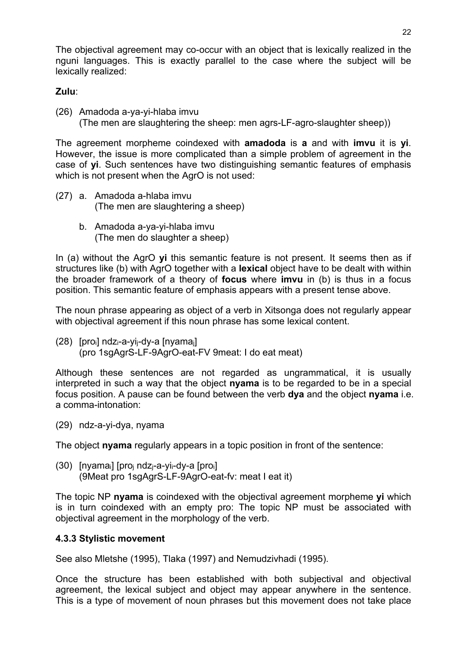The objectival agreement may co-occur with an object that is lexically realized in the nguni languages. This is exactly parallel to the case where the subject will be lexically realized:

#### **Zulu**:

(26) Amadoda a-ya-yi-hlaba imvu (The men are slaughtering the sheep: men agrs-LF-agro-slaughter sheep))

The agreement morpheme coindexed with **amadoda** is **a** and with **imvu** it is **yi**. However, the issue is more complicated than a simple problem of agreement in the case of **yi**. Such sentences have two distinguishing semantic features of emphasis which is not present when the AgrO is not used:

- (27) a. Amadoda a-hlaba imvu (The men are slaughtering a sheep)
	- b. Amadoda a-ya-yi-hlaba imvu (The men do slaughter a sheep)

In (a) without the AgrO **yi** this semantic feature is not present. It seems then as if structures like (b) with AgrO together with a **lexical** object have to be dealt with within the broader framework of a theory of **focus** where **imvu** in (b) is thus in a focus position. This semantic feature of emphasis appears with a present tense above.

The noun phrase appearing as object of a verb in Xitsonga does not regularly appear with objectival agreement if this noun phrase has some lexical content.

(28) [proi] ndzi-a-yij-dy-a [nyamaj] (pro 1sgAgrS-LF-9AgrO-eat-FV 9meat: I do eat meat)

Although these sentences are not regarded as ungrammatical, it is usually interpreted in such a way that the object **nyama** is to be regarded to be in a special focus position. A pause can be found between the verb **dya** and the object **nyama** i.e. a comma-intonation:

(29) ndz-a-yi-dya, nyama

The object **nyama** regularly appears in a topic position in front of the sentence:

(30) [nyamai] [proj ndzj-a-yii-dy-a [proi] (9Meat pro 1sgAgrS-LF-9AgrO-eat-fv: meat I eat it)

The topic NP **nyama** is coindexed with the objectival agreement morpheme **yi** which is in turn coindexed with an empty pro: The topic NP must be associated with objectival agreement in the morphology of the verb.

#### **4.3.3 Stylistic movement**

See also Mletshe (1995), Tlaka (1997) and Nemudzivhadi (1995).

Once the structure has been established with both subjectival and objectival agreement, the lexical subject and object may appear anywhere in the sentence. This is a type of movement of noun phrases but this movement does not take place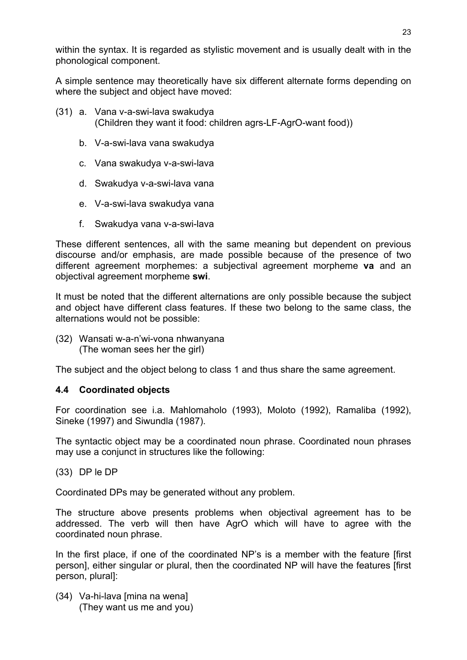within the syntax. It is regarded as stylistic movement and is usually dealt with in the phonological component.

A simple sentence may theoretically have six different alternate forms depending on where the subject and object have moved:

- (31) a. Vana v-a-swi-lava swakudya (Children they want it food: children agrs-LF-AgrO-want food))
	- b. V-a-swi-lava vana swakudya
	- c. Vana swakudya v-a-swi-lava
	- d. Swakudya v-a-swi-lava vana
	- e. V-a-swi-lava swakudya vana
	- f. Swakudya vana v-a-swi-lava

These different sentences, all with the same meaning but dependent on previous discourse and/or emphasis, are made possible because of the presence of two different agreement morphemes: a subjectival agreement morpheme **va** and an objectival agreement morpheme **swi**.

It must be noted that the different alternations are only possible because the subject and object have different class features. If these two belong to the same class, the alternations would not be possible:

(32) Wansati w-a-n'wi-vona nhwanyana (The woman sees her the girl)

The subject and the object belong to class 1 and thus share the same agreement.

#### **4.4 Coordinated objects**

For coordination see i.a. Mahlomaholo (1993), Moloto (1992), Ramaliba (1992), Sineke (1997) and Siwundla (1987).

The syntactic object may be a coordinated noun phrase. Coordinated noun phrases may use a conjunct in structures like the following:

(33) DP le DP

Coordinated DPs may be generated without any problem.

The structure above presents problems when objectival agreement has to be addressed. The verb will then have AgrO which will have to agree with the coordinated noun phrase.

In the first place, if one of the coordinated NP's is a member with the feature [first] person], either singular or plural, then the coordinated NP will have the features [first person, plural]:

(34) Va-hi-lava [mina na wena] (They want us me and you)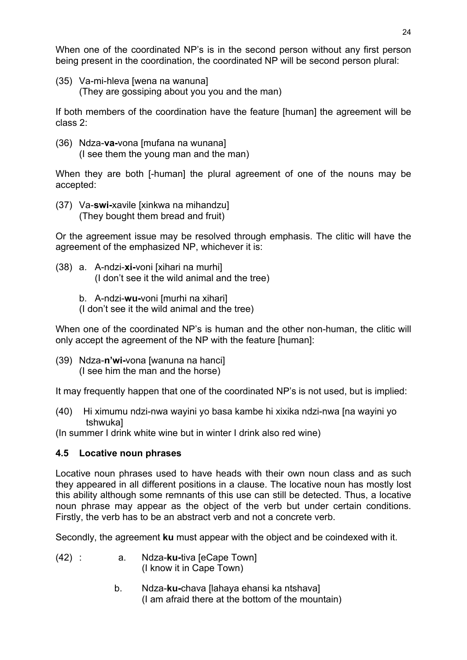When one of the coordinated NP's is in the second person without any first person being present in the coordination, the coordinated NP will be second person plural:

(35) Va-mi-hleva [wena na wanuna] (They are gossiping about you you and the man)

If both members of the coordination have the feature [human] the agreement will be class 2:

(36) Ndza-**va-**vona [mufana na wunana] (I see them the young man and the man)

When they are both [-human] the plural agreement of one of the nouns may be accepted:

(37) Va-**swi-**xavile [xinkwa na mihandzu] (They bought them bread and fruit)

Or the agreement issue may be resolved through emphasis. The clitic will have the agreement of the emphasized NP, whichever it is:

- (38) a. A-ndzi-**xi-**voni [xihari na murhi] (I don't see it the wild animal and the tree)
	- b. A-ndzi-**wu-**voni [murhi na xihari]
	- (I don't see it the wild animal and the tree)

When one of the coordinated NP's is human and the other non-human, the clitic will only accept the agreement of the NP with the feature [human]:

(39) Ndza-**n'wi-**vona [wanuna na hanci] (I see him the man and the horse)

It may frequently happen that one of the coordinated NP's is not used, but is implied:

(40) Hi ximumu ndzi-nwa wayini yo basa kambe hi xixika ndzi-nwa [na wayini yo tshwuka]

(In summer I drink white wine but in winter I drink also red wine)

### **4.5 Locative noun phrases**

Locative noun phrases used to have heads with their own noun class and as such they appeared in all different positions in a clause. The locative noun has mostly lost this ability although some remnants of this use can still be detected. Thus, a locative noun phrase may appear as the object of the verb but under certain conditions. Firstly, the verb has to be an abstract verb and not a concrete verb.

Secondly, the agreement **ku** must appear with the object and be coindexed with it.

- (42) : a. Ndza-**ku-**tiva [eCape Town] (I know it in Cape Town)
	- b. Ndza-**ku-**chava [lahaya ehansi ka ntshava] (I am afraid there at the bottom of the mountain)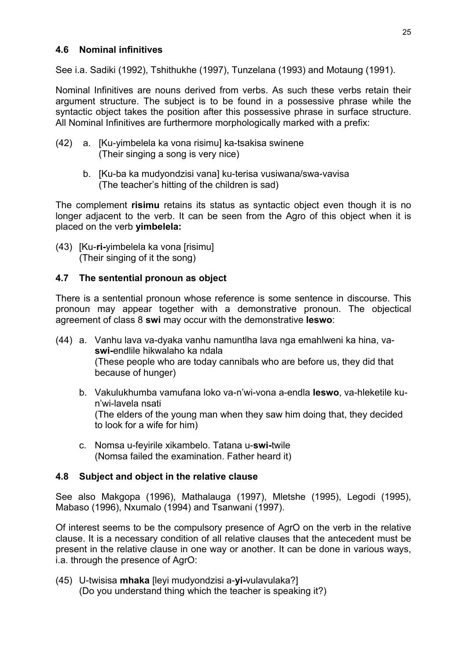#### **4.6 Nominal infinitives**

See i.a. Sadiki (1992), Tshithukhe (1997), Tunzelana (1993) and Motaung (1991).

Nominal Infinitives are nouns derived from verbs. As such these verbs retain their argument structure. The subject is to be found in a possessive phrase while the syntactic object takes the position after this possessive phrase in surface structure. All Nominal Infinitives are furthermore morphologically marked with a prefix:

- (42) a. [Ku-yimbelela ka vona risimu] ka-tsakisa swinene (Their singing a song is very nice)
	- b. [Ku-ba ka mudyondzisi vana] ku-terisa vusiwana/swa-vavisa (The teacher's hitting of the children is sad)

The complement **risimu** retains its status as syntactic object even though it is no longer adjacent to the verb. It can be seen from the Agro of this object when it is placed on the verb **yimbelela:** 

(43) [Ku-**ri-**yimbelela ka vona [risimu] (Their singing of it the song)

#### **4.7 The sentential pronoun as object**

There is a sentential pronoun whose reference is some sentence in discourse. This pronoun may appear together with a demonstrative pronoun. The objectical agreement of class 8 **swi** may occur with the demonstrative **leswo**:

- (44) a. Vanhu lava va-dyaka vanhu namuntlha lava nga emahlweni ka hina, va**swi-**endlile hikwalaho ka ndala (These people who are today cannibals who are before us, they did that because of hunger)
	- b. Vakulukhumba vamufana loko va-n'wi-vona a-endla **leswo**, va-hleketile ku n'wi-lavela nsati (The elders of the young man when they saw him doing that, they decided to look for a wife for him)
	- c. Nomsa u-feyirile xikambelo. Tatana u-**swi-**twile (Nomsa failed the examination. Father heard it)

#### **4.8 Subject and object in the relative clause**

See also Makgopa (1996), Mathalauga (1997), Mletshe (1995), Legodi (1995), Mabaso (1996), Nxumalo (1994) and Tsanwani (1997).

Of interest seems to be the compulsory presence of AgrO on the verb in the relative clause. It is a necessary condition of all relative clauses that the antecedent must be present in the relative clause in one way or another. It can be done in various ways, i.a. through the presence of AgrO:

(45) U-twisisa **mhaka** [leyi mudyondzisi a-**yi-**vulavulaka?] (Do you understand thing which the teacher is speaking it?)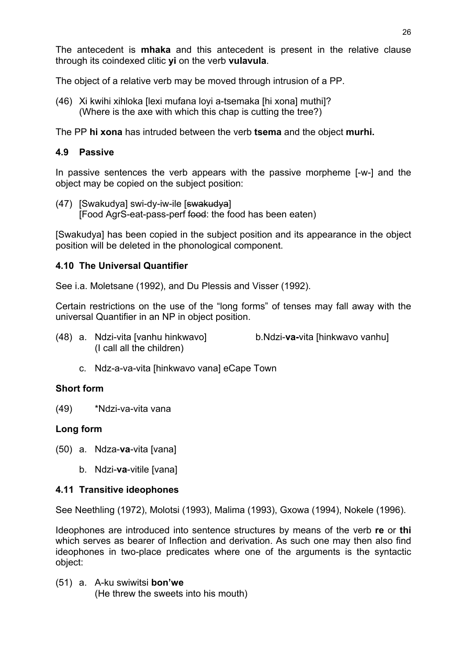The antecedent is **mhaka** and this antecedent is present in the relative clause through its coindexed clitic **yi** on the verb **vulavula**.

The object of a relative verb may be moved through intrusion of a PP.

(46) Xi kwihi xihloka [lexi mufana loyi a-tsemaka [hi xona] muthi]? (Where is the axe with which this chap is cutting the tree?)

The PP **hi xona** has intruded between the verb **tsema** and the object **murhi.** 

#### **4.9 Passive**

In passive sentences the verb appears with the passive morpheme [-w-] and the object may be copied on the subject position:

(47) [Swakudya] swi-dy-iw-ile [swakudya] [Food AgrS-eat-pass-perf food: the food has been eaten)

[Swakudya] has been copied in the subject position and its appearance in the object position will be deleted in the phonological component.

#### **4.10 The Universal Quantifier**

See i.a. Moletsane (1992), and Du Plessis and Visser (1992).

Certain restrictions on the use of the "long forms" of tenses may fall away with the universal Quantifier in an NP in object position.

- (48) a. Ndzi-vita [vanhu hinkwavo] b.Ndzi-**va-**vita [hinkwavo vanhu] (I call all the children)
	- c. Ndz-a-va-vita [hinkwavo vana] eCape Town

### **Short form**

(49) \*Ndzi-va-vita vana

#### **Long form**

- (50) a. Ndza-**va**-vita [vana]
	- b. Ndzi-**va**-vitile [vana]

#### **4.11 Transitive ideophones**

See Neethling (1972), Molotsi (1993), Malima (1993), Gxowa (1994), Nokele (1996).

Ideophones are introduced into sentence structures by means of the verb **re** or **thi** which serves as bearer of Inflection and derivation. As such one may then also find ideophones in two-place predicates where one of the arguments is the syntactic object:

(51) a. A-ku swiwitsi **bon'we** (He threw the sweets into his mouth)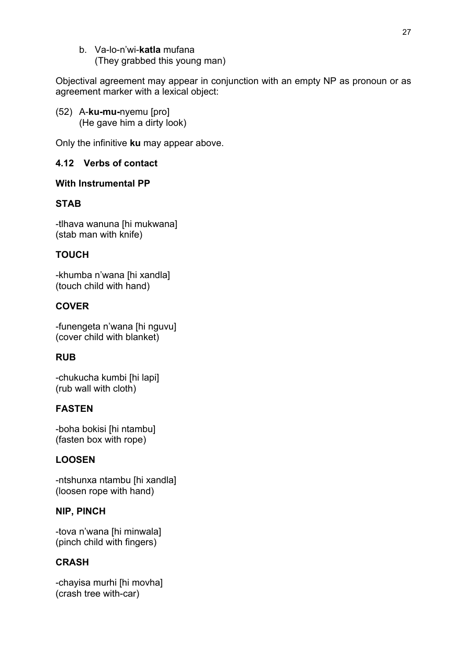b. Va-lo-n'wi-**katla** mufana (They grabbed this young man)

Objectival agreement may appear in conjunction with an empty NP as pronoun or as agreement marker with a lexical object:

(52) A-**ku-mu-**nyemu [pro] (He gave him a dirty look)

Only the infinitive **ku** may appear above.

### **4.12 Verbs of contact**

#### **With Instrumental PP**

### **STAB**

-tlhava wanuna [hi mukwana] (stab man with knife)

### **TOUCH**

-khumba n'wana [hi xandla] (touch child with hand)

### **COVER**

-funengeta n'wana [hi nguvu] (cover child with blanket)

### **RUB**

-chukucha kumbi [hi lapi] (rub wall with cloth)

### **FASTEN**

-boha bokisi [hi ntambu] (fasten box with rope)

### **LOOSEN**

-ntshunxa ntambu [hi xandla] (loosen rope with hand)

### **NIP, PINCH**

-tova n'wana [hi minwala] (pinch child with fingers)

### **CRASH**

-chayisa murhi [hi movha] (crash tree with-car)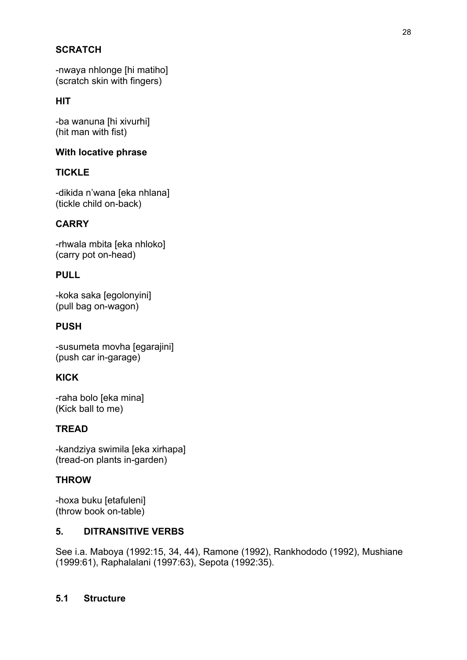### **SCRATCH**

-nwaya nhlonge [hi matiho] (scratch skin with fingers)

### **HIT**

-ba wanuna [hi xivurhi] (hit man with fist)

#### **With locative phrase**

### **TICKLE**

-dikida n'wana [eka nhlana] (tickle child on-back)

### **CARRY**

-rhwala mbita [eka nhloko] (carry pot on-head)

### **PULL**

-koka saka [egolonyini] (pull bag on-wagon)

#### **PUSH**

-susumeta movha [egarajini] (push car in-garage)

### **KICK**

-raha bolo [eka mina] (Kick ball to me)

### **TREAD**

-kandziya swimila [eka xirhapa] (tread-on plants in-garden)

### **THROW**

-hoxa buku [etafuleni] (throw book on-table)

#### **5. DITRANSITIVE VERBS**

See i.a. Maboya (1992:15, 34, 44), Ramone (1992), Rankhododo (1992), Mushiane (1999:61), Raphalalani (1997:63), Sepota (1992:35).

### **5.1 Structure**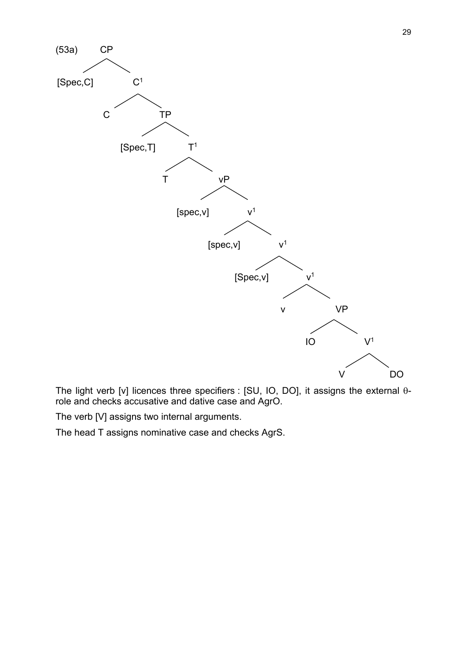

The light verb [v] licences three specifiers : [SU, IO, DO], it assigns the external  $\theta$ role and checks accusative and dative case and AgrO.

The verb [V] assigns two internal arguments.

The head T assigns nominative case and checks AgrS.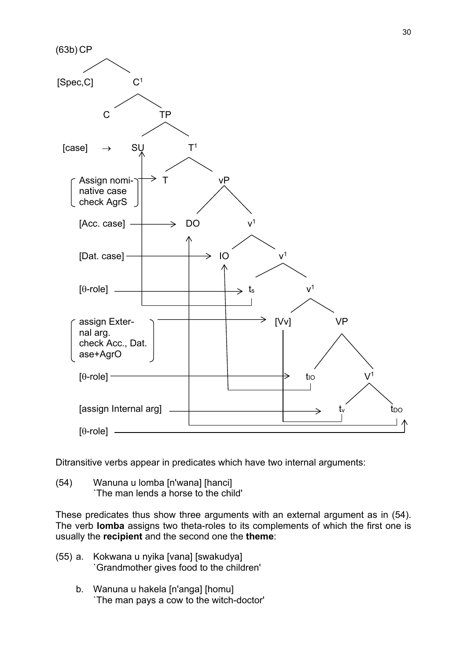

Ditransitive verbs appear in predicates which have two internal arguments:

(54) Wanuna u lomba [n'wana] [hanci] `The man lends a horse to the child'

These predicates thus show three arguments with an external argument as in (54). The verb **lomba** assigns two theta-roles to its complements of which the first one is usually the **recipient** and the second one the **theme**:

- (55) a. Kokwana u nyika [vana] [swakudya] `Grandmother gives food to the children'
	- b. Wanuna u hakela [n'anga] [homu] `The man pays a cow to the witch-doctor'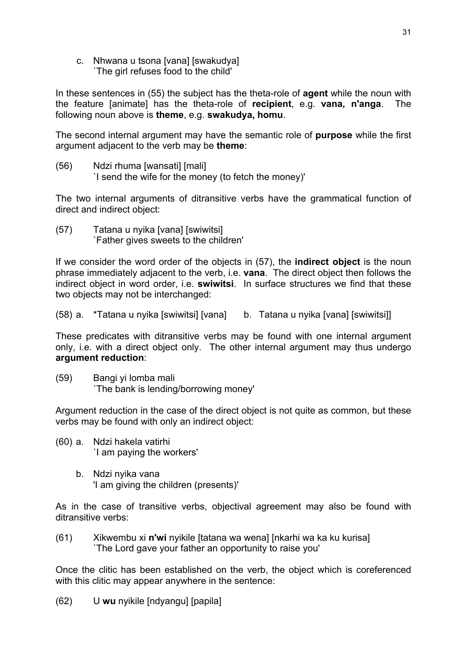c. Nhwana u tsona [vana] [swakudya] `The girl refuses food to the child'

In these sentences in (55) the subject has the theta-role of **agent** while the noun with the feature [animate] has the theta-role of **recipient**, e.g. **vana, n'anga**. The following noun above is **theme**, e.g. **swakudya, homu**.

The second internal argument may have the semantic role of **purpose** while the first argument adjacent to the verb may be **theme**:

(56) Ndzi rhuma [wansati] [mali] `I send the wife for the money (to fetch the money)'

The two internal arguments of ditransitive verbs have the grammatical function of direct and indirect object:

(57) Tatana u nyika [vana] [swiwitsi] `Father gives sweets to the children'

If we consider the word order of the objects in (57), the **indirect object** is the noun phrase immediately adjacent to the verb, i.e. **vana**. The direct object then follows the indirect object in word order, i.e. **swiwitsi**. In surface structures we find that these two objects may not be interchanged:

(58) a. \*Tatana u nyika [swiwitsi] [vana] b. Tatana u nyika [vana] [swiwitsi]]

These predicates with ditransitive verbs may be found with one internal argument only, i.e. with a direct object only. The other internal argument may thus undergo **argument reduction**:

(59) Bangi yi lomba mali `The bank is lending/borrowing money'

Argument reduction in the case of the direct object is not quite as common, but these verbs may be found with only an indirect object:

- (60) a. Ndzi hakela vatirhi `I am paying the workers'
	- b. Ndzi nyika vana 'I am giving the children (presents)'

As in the case of transitive verbs, objectival agreement may also be found with ditransitive verbs:

(61) Xikwembu xi **n'wi** nyikile [tatana wa wena] [nkarhi wa ka ku kurisa] `The Lord gave your father an opportunity to raise you'

Once the clitic has been established on the verb, the object which is coreferenced with this clitic may appear anywhere in the sentence:

(62) U **wu** nyikile [ndyangu] [papila]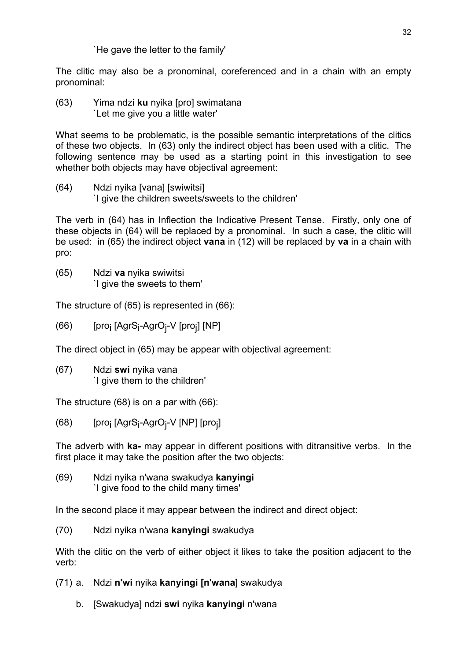#### `He gave the letter to the family'

The clitic may also be a pronominal, coreferenced and in a chain with an empty pronominal:

(63) Yima ndzi **ku** nyika [pro] swimatana `Let me give you a little water'

What seems to be problematic, is the possible semantic interpretations of the clitics of these two objects. In (63) only the indirect object has been used with a clitic. The following sentence may be used as a starting point in this investigation to see whether both objects may have objectival agreement:

(64) Ndzi nyika [vana] [swiwitsi] `I give the children sweets/sweets to the children'

The verb in (64) has in Inflection the Indicative Present Tense. Firstly, only one of these objects in (64) will be replaced by a pronominal. In such a case, the clitic will be used: in (65) the indirect object **vana** in (12) will be replaced by **va** in a chain with pro:

(65) Ndzi **va** nyika swiwitsi `I give the sweets to them'

The structure of (65) is represented in (66):

(66) [pro<sub>j</sub> [AgrS<sub>i</sub>-AgrO<sub>j</sub>-V [pro<sub>j</sub>] [NP]

The direct object in (65) may be appear with objectival agreement:

(67) Ndzi **swi** nyika vana `I give them to the children'

The structure (68) is on a par with (66):

(68) [pro<sub>j</sub> [AgrS<sub>i</sub>-AgrO<sub>j</sub>-V [NP] [pro<sub>j</sub>]

The adverb with **ka-** may appear in different positions with ditransitive verbs. In the first place it may take the position after the two objects:

(69) Ndzi nyika n'wana swakudya **kanyingi** `I give food to the child many times'

In the second place it may appear between the indirect and direct object:

(70) Ndzi nyika n'wana **kanyingi** swakudya

With the clitic on the verb of either object it likes to take the position adjacent to the verb:

- (71) a. Ndzi **n'wi** nyika **kanyingi [n'wana**] swakudya
	- b. [Swakudya] ndzi **swi** nyika **kanyingi** n'wana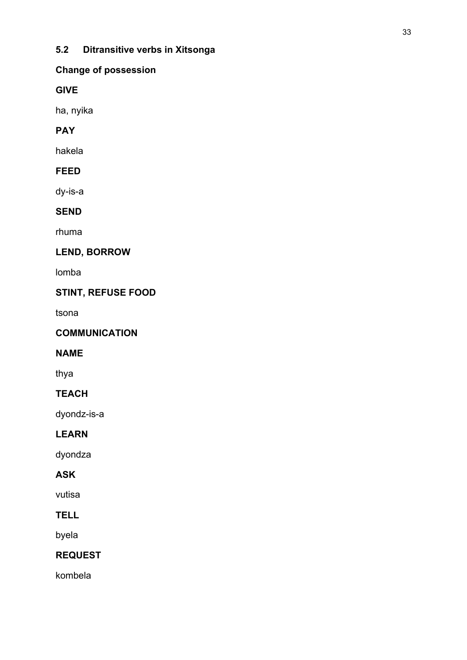# **5.2 Ditransitive verbs in Xitsonga**

### **Change of possession**

### **GIVE**

ha, nyika

# **PAY**

hakela

# **FEED**

dy-is-a

# **SEND**

rhuma

# **LEND, BORROW**

lomba

# **STINT, REFUSE FOOD**

tsona

### **COMMUNICATION**

### **NAME**

thya

### **TEACH**

dyondz-is-a

### **LEARN**

dyondza

# **ASK**

vutisa

## **TELL**

byela

# **REQUEST**

kombela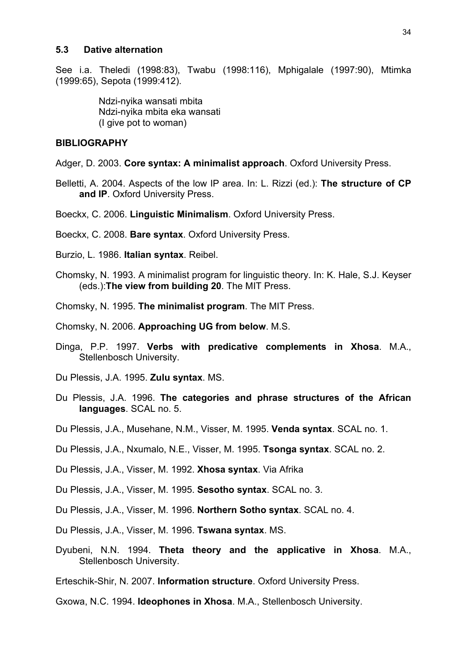#### **5.3 Dative alternation**

See i.a. Theledi (1998:83), Twabu (1998:116), Mphigalale (1997:90), Mtimka (1999:65), Sepota (1999:412).

> Ndzi-nyika wansati mbita Ndzi-nyika mbita eka wansati (I give pot to woman)

#### **BIBLIOGRAPHY**

Adger, D. 2003. **Core syntax: A minimalist approach**. Oxford University Press.

Belletti, A. 2004. Aspects of the low IP area. In: L. Rizzi (ed.): **The structure of CP and IP**. Oxford University Press.

Boeckx, C. 2006. **Linguistic Minimalism**. Oxford University Press.

Boeckx, C. 2008. **Bare syntax**. Oxford University Press.

- Burzio, L. 1986. **Italian syntax**. Reibel.
- Chomsky, N. 1993. A minimalist program for linguistic theory. In: K. Hale, S.J. Keyser (eds.):**The view from building 20**. The MIT Press.
- Chomsky, N. 1995. **The minimalist program**. The MIT Press.

Chomsky, N. 2006. **Approaching UG from below**. M.S.

- Dinga, P.P. 1997. **Verbs with predicative complements in Xhosa**. M.A., Stellenbosch University.
- Du Plessis, J.A. 1995. **Zulu syntax**. MS.
- Du Plessis, J.A. 1996. **The categories and phrase structures of the African languages**. SCAL no. 5.
- Du Plessis, J.A., Musehane, N.M., Visser, M. 1995. **Venda syntax**. SCAL no. 1.
- Du Plessis, J.A., Nxumalo, N.E., Visser, M. 1995. **Tsonga syntax**. SCAL no. 2.

Du Plessis, J.A., Visser, M. 1992. **Xhosa syntax**. Via Afrika

Du Plessis, J.A., Visser, M. 1995. **Sesotho syntax**. SCAL no. 3.

Du Plessis, J.A., Visser, M. 1996. **Northern Sotho syntax**. SCAL no. 4.

- Du Plessis, J.A., Visser, M. 1996. **Tswana syntax**. MS.
- Dyubeni, N.N. 1994. **Theta theory and the applicative in Xhosa**. M.A., Stellenbosch University.

Erteschik-Shir, N. 2007. **Information structure**. Oxford University Press.

Gxowa, N.C. 1994. **Ideophones in Xhosa**. M.A., Stellenbosch University.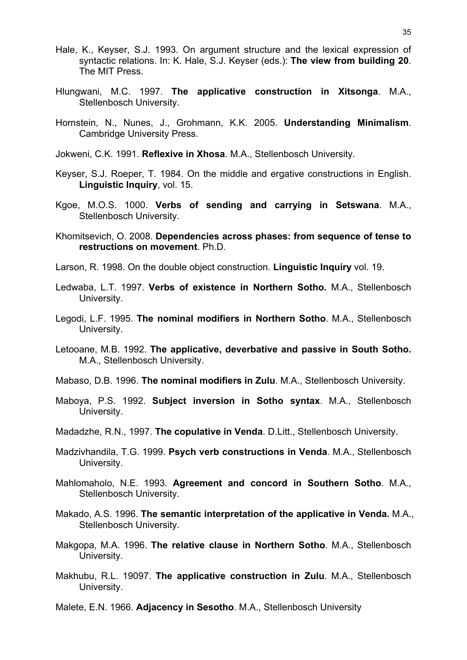- Hale, K., Keyser, S.J. 1993. On argument structure and the lexical expression of syntactic relations. In: K. Hale, S.J. Keyser (eds.): **The view from building 20**. The MIT Press.
- Hlungwani, M.C. 1997. **The applicative construction in Xitsonga**. M.A., Stellenbosch University.
- Hornstein, N., Nunes, J., Grohmann, K.K. 2005. **Understanding Minimalism**. Cambridge University Press.
- Jokweni, C.K. 1991. **Reflexive in Xhosa**. M.A., Stellenbosch University.
- Keyser, S.J. Roeper, T. 1984. On the middle and ergative constructions in English. **Linguistic Inquiry**, vol. 15.
- Kgoe, M.O.S. 1000. **Verbs of sending and carrying in Setswana**. M.A., Stellenbosch University.
- Khomitsevich, O. 2008. **Dependencies across phases: from sequence of tense to restructions on movement**. Ph.D.
- Larson, R. 1998. On the double object construction. **Linguistic Inquiry** vol. 19.
- Ledwaba, L.T. 1997. **Verbs of existence in Northern Sotho.** M.A., Stellenbosch University.
- Legodi, L.F. 1995. **The nominal modifiers in Northern Sotho**. M.A., Stellenbosch University.
- Letooane, M.B. 1992. **The applicative, deverbative and passive in South Sotho.**  M.A., Stellenbosch University.
- Mabaso, D.B. 1996. **The nominal modifiers in Zulu**. M.A., Stellenbosch University.
- Maboya, P.S. 1992. **Subject inversion in Sotho syntax**. M.A., Stellenbosch University.
- Madadzhe, R.N., 1997. **The copulative in Venda**. D.Litt., Stellenbosch University.
- Madzivhandila, T.G. 1999. **Psych verb constructions in Venda**. M.A., Stellenbosch University.
- Mahlomaholo, N.E. 1993. **Agreement and concord in Southern Sotho**. M.A., Stellenbosch University.
- Makado, A.S. 1996. **The semantic interpretation of the applicative in Venda.** M.A., Stellenbosch University.
- Makgopa, M.A. 1996. **The relative clause in Northern Sotho**. M.A., Stellenbosch University.
- Makhubu, R.L. 19097. **The applicative construction in Zulu**. M.A., Stellenbosch University.
- Malete, E.N. 1966. **Adjacency in Sesotho**. M.A., Stellenbosch University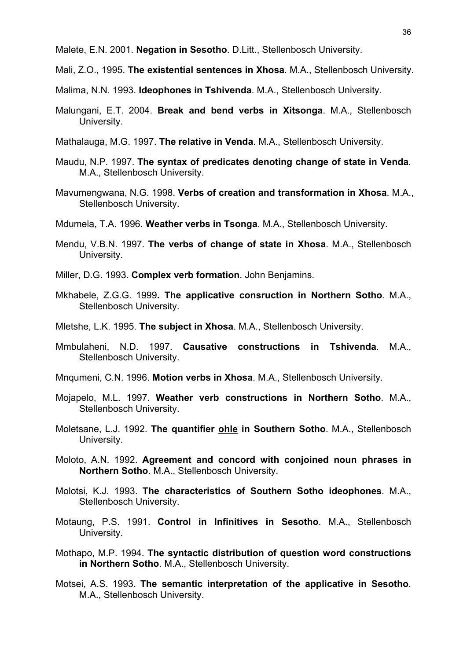Malete, E.N. 2001. **Negation in Sesotho**. D.Litt., Stellenbosch University.

Mali, Z.O., 1995. **The existential sentences in Xhosa**. M.A., Stellenbosch University.

Malima, N.N. 1993. **Ideophones in Tshivenda**. M.A., Stellenbosch University.

- Malungani, E.T. 2004. **Break and bend verbs in Xitsonga**. M.A., Stellenbosch University.
- Mathalauga, M.G. 1997. **The relative in Venda**. M.A., Stellenbosch University.
- Maudu, N.P. 1997. **The syntax of predicates denoting change of state in Venda**. M.A., Stellenbosch University.
- Mavumengwana, N.G. 1998. **Verbs of creation and transformation in Xhosa**. M.A., Stellenbosch University.
- Mdumela, T.A. 1996. **Weather verbs in Tsonga**. M.A., Stellenbosch University.
- Mendu, V.B.N. 1997. **The verbs of change of state in Xhosa**. M.A., Stellenbosch University.
- Miller, D.G. 1993. **Complex verb formation**. John Benjamins.
- Mkhabele, Z.G.G. 1999**. The applicative consruction in Northern Sotho**. M.A., Stellenbosch University.
- Mletshe, L.K. 1995. **The subject in Xhosa**. M.A., Stellenbosch University.
- Mmbulaheni, N.D. 1997. **Causative constructions in Tshivenda**. M.A., Stellenbosch University.
- Mnqumeni, C.N. 1996. **Motion verbs in Xhosa**. M.A., Stellenbosch University.
- Mojapelo, M.L. 1997. **Weather verb constructions in Northern Sotho**. M.A., Stellenbosch University.
- Moletsane, L.J. 1992. **The quantifier ohle in Southern Sotho**. M.A., Stellenbosch University.
- Moloto, A.N. 1992. **Agreement and concord with conjoined noun phrases in Northern Sotho**. M.A., Stellenbosch University.
- Molotsi, K.J. 1993. **The characteristics of Southern Sotho ideophones**. M.A., Stellenbosch University.
- Motaung, P.S. 1991. **Control in Infinitives in Sesotho**. M.A., Stellenbosch University.
- Mothapo, M.P. 1994. **The syntactic distribution of question word constructions in Northern Sotho**. M.A., Stellenbosch University.
- Motsei, A.S. 1993. **The semantic interpretation of the applicative in Sesotho**. M.A., Stellenbosch University.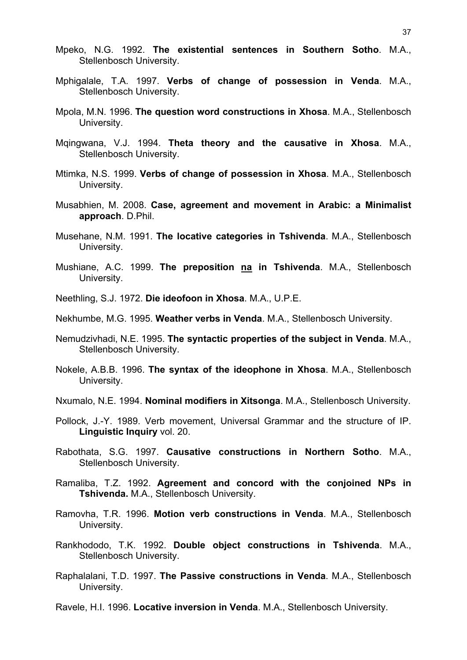- Mpeko, N.G. 1992. **The existential sentences in Southern Sotho**. M.A., Stellenbosch University.
- Mphigalale, T.A. 1997. **Verbs of change of possession in Venda**. M.A., Stellenbosch University.
- Mpola, M.N. 1996. **The question word constructions in Xhosa**. M.A., Stellenbosch University.
- Mqingwana, V.J. 1994. **Theta theory and the causative in Xhosa**. M.A., Stellenbosch University.
- Mtimka, N.S. 1999. **Verbs of change of possession in Xhosa**. M.A., Stellenbosch University.
- Musabhien, M. 2008. **Case, agreement and movement in Arabic: a Minimalist approach**. D.Phil.
- Musehane, N.M. 1991. **The locative categories in Tshivenda**. M.A., Stellenbosch University.
- Mushiane, A.C. 1999. **The preposition na in Tshivenda**. M.A., Stellenbosch University.
- Neethling, S.J. 1972. **Die ideofoon in Xhosa**. M.A., U.P.E.

Nekhumbe, M.G. 1995. **Weather verbs in Venda**. M.A., Stellenbosch University.

- Nemudzivhadi, N.E. 1995. **The syntactic properties of the subject in Venda**. M.A., Stellenbosch University.
- Nokele, A.B.B. 1996. **The syntax of the ideophone in Xhosa**. M.A., Stellenbosch University.
- Nxumalo, N.E. 1994. **Nominal modifiers in Xitsonga**. M.A., Stellenbosch University.
- Pollock, J.-Y. 1989. Verb movement, Universal Grammar and the structure of IP. **Linguistic Inquiry** vol. 20.
- Rabothata, S.G. 1997. **Causative constructions in Northern Sotho**. M.A., Stellenbosch University.
- Ramaliba, T.Z. 1992. **Agreement and concord with the conjoined NPs in Tshivenda.** M.A., Stellenbosch University.
- Ramovha, T.R. 1996. **Motion verb constructions in Venda**. M.A., Stellenbosch University.
- Rankhododo, T.K. 1992. **Double object constructions in Tshivenda**. M.A., Stellenbosch University.
- Raphalalani, T.D. 1997. **The Passive constructions in Venda**. M.A., Stellenbosch University.
- Ravele, H.I. 1996. **Locative inversion in Venda**. M.A., Stellenbosch University.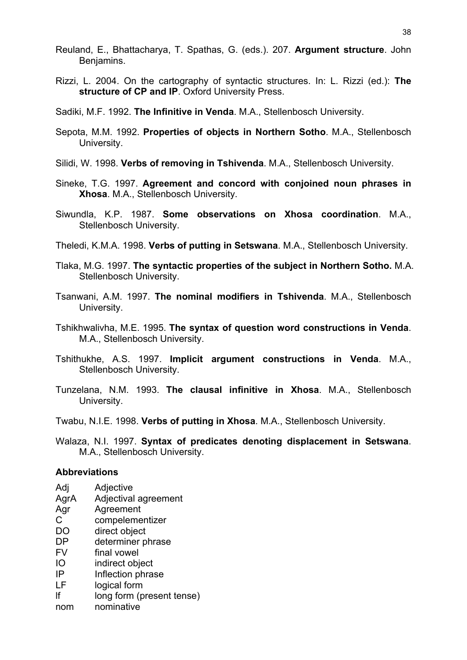- Reuland, E., Bhattacharya, T. Spathas, G. (eds.). 207. **Argument structure**. John Benjamins.
- Rizzi, L. 2004. On the cartography of syntactic structures. In: L. Rizzi (ed.): **The structure of CP and IP**. Oxford University Press.
- Sadiki, M.F. 1992. **The Infinitive in Venda**. M.A., Stellenbosch University.
- Sepota, M.M. 1992. **Properties of objects in Northern Sotho**. M.A., Stellenbosch University.
- Silidi, W. 1998. **Verbs of removing in Tshivenda**. M.A., Stellenbosch University.
- Sineke, T.G. 1997. **Agreement and concord with conjoined noun phrases in Xhosa**. M.A., Stellenbosch University.
- Siwundla, K.P. 1987. **Some observations on Xhosa coordination**. M.A., Stellenbosch University.

Theledi, K.M.A. 1998. **Verbs of putting in Setswana**. M.A., Stellenbosch University.

- Tlaka, M.G. 1997. **The syntactic properties of the subject in Northern Sotho.** M.A. Stellenbosch University.
- Tsanwani, A.M. 1997. **The nominal modifiers in Tshivenda**. M.A., Stellenbosch University.
- Tshikhwalivha, M.E. 1995. **The syntax of question word constructions in Venda**. M.A., Stellenbosch University.
- Tshithukhe, A.S. 1997. **Implicit argument constructions in Venda**. M.A., Stellenbosch University.
- Tunzelana, N.M. 1993. **The clausal infinitive in Xhosa**. M.A., Stellenbosch University.
- Twabu, N.I.E. 1998. **Verbs of putting in Xhosa**. M.A., Stellenbosch University.
- Walaza, N.I. 1997. **Syntax of predicates denoting displacement in Setswana**. M.A., Stellenbosch University.

#### **Abbreviations**

- Adj Adjective
- AgrA Adjectival agreement
- Agr Agreement
- C compelementizer
- DO direct object
- DP determiner phrase
- FV final vowel
- IO indirect object
- IP Inflection phrase
- LF logical form
- lf long form (present tense)
- nom nominative